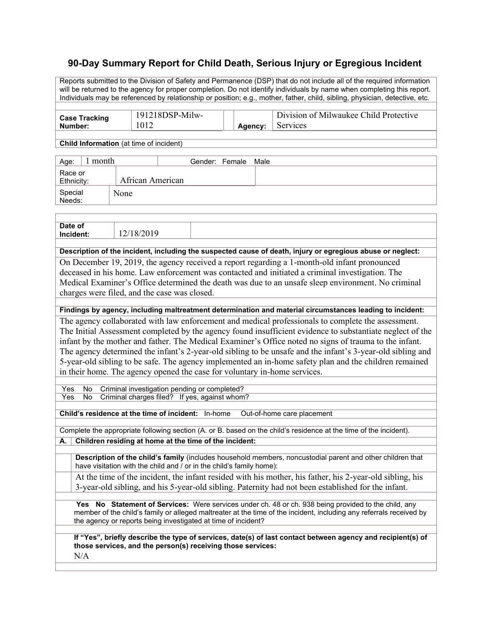## **90-Day Summary Report for Child Death, Serious Injury or Egregious Incident**

Reports submitted to the Division of Safety and Permanence (DSP) that do not include all of the required information will be returned to the agency for proper completion. Do not identify individuals by name when completing this report. Individuals may be referenced by relationship or position; e.g., mother, father, child, sibling, physician, detective, etc.

| <b>Case Tracking</b> | 191218DSP-Milw- |         | Division of Milwaukee Child Protective |
|----------------------|-----------------|---------|----------------------------------------|
| Number:              | 1012            | Agency: | Services                               |
|                      |                 |         |                                        |

**Child Information** (at time of incident)

| l month<br>Age:       |                  | Gender: Female Male |  |
|-----------------------|------------------|---------------------|--|
| Race or<br>Ethnicity: | African American |                     |  |
| Special<br>Needs:     | None             |                     |  |

| Date of<br>Incident:     | 12/18/2019 |  |            |  |
|--------------------------|------------|--|------------|--|
|                          |            |  |            |  |
| the property of the con- |            |  | ___<br>___ |  |

**Description of the incident, including the suspected cause of death, injury or egregious abuse or neglect:** On December 19, 2019, the agency received a report regarding a 1-month-old infant pronounced deceased in his home. Law enforcement was contacted and initiated a criminal investigation. The Medical Examiner's Office determined the death was due to an unsafe sleep environment. No criminal charges were filed, and the case was closed.

**Findings by agency, including maltreatment determination and material circumstances leading to incident:**

The agency collaborated with law enforcement and medical professionals to complete the assessment. The Initial Assessment completed by the agency found insufficient evidence to substantiate neglect of the infant by the mother and father. The Medical Examiner's Office noted no signs of trauma to the infant. The agency determined the infant's 2-year-old sibling to be unsafe and the infant's 3-year-old sibling and 5-year-old sibling to be safe. The agency implemented an in-home safety plan and the children remained in their home. The agency opened the case for voluntary in-home services.

Yes No Criminal investigation pending or completed? Yes No Criminal charges filed? If yes, against whom?

**Child's residence at the time of incident:** In-home Out-of-home care placement

Complete the appropriate following section (A. or B. based on the child's residence at the time of the incident).

**A. Children residing at home at the time of the incident:**

**Description of the child's family** (includes household members, noncustodial parent and other children that have visitation with the child and / or in the child's family home):

At the time of the incident, the infant resided with his mother, his father, his 2-year-old sibling, his 3-year-old sibling, and his 5-year-old sibling. Paternity had not been established for the infant.

**Yes No Statement of Services:** Were services under ch. 48 or ch. 938 being provided to the child, any member of the child's family or alleged maltreater at the time of the incident, including any referrals received by the agency or reports being investigated at time of incident?

**If "Yes", briefly describe the type of services, date(s) of last contact between agency and recipient(s) of those services, and the person(s) receiving those services:**

 $N/A$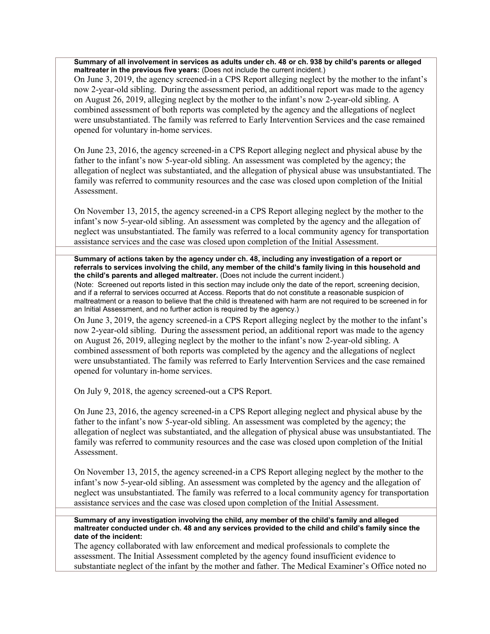**Summary of all involvement in services as adults under ch. 48 or ch. 938 by child's parents or alleged maltreater in the previous five years:** (Does not include the current incident.)

On June 3, 2019, the agency screened-in a CPS Report alleging neglect by the mother to the infant's now 2-year-old sibling. During the assessment period, an additional report was made to the agency on August 26, 2019, alleging neglect by the mother to the infant's now 2-year-old sibling. A combined assessment of both reports was completed by the agency and the allegations of neglect were unsubstantiated. The family was referred to Early Intervention Services and the case remained opened for voluntary in-home services.

On June 23, 2016, the agency screened-in a CPS Report alleging neglect and physical abuse by the father to the infant's now 5-year-old sibling. An assessment was completed by the agency; the allegation of neglect was substantiated, and the allegation of physical abuse was unsubstantiated. The family was referred to community resources and the case was closed upon completion of the Initial Assessment.

On November 13, 2015, the agency screened-in a CPS Report alleging neglect by the mother to the infant's now 5-year-old sibling. An assessment was completed by the agency and the allegation of neglect was unsubstantiated. The family was referred to a local community agency for transportation assistance services and the case was closed upon completion of the Initial Assessment.

**Summary of actions taken by the agency under ch. 48, including any investigation of a report or referrals to services involving the child, any member of the child's family living in this household and the child's parents and alleged maltreater.** (Does not include the current incident.)

(Note: Screened out reports listed in this section may include only the date of the report, screening decision, and if a referral to services occurred at Access. Reports that do not constitute a reasonable suspicion of maltreatment or a reason to believe that the child is threatened with harm are not required to be screened in for an Initial Assessment, and no further action is required by the agency.)

On June 3, 2019, the agency screened-in a CPS Report alleging neglect by the mother to the infant's now 2-year-old sibling. During the assessment period, an additional report was made to the agency on August 26, 2019, alleging neglect by the mother to the infant's now 2-year-old sibling. A combined assessment of both reports was completed by the agency and the allegations of neglect were unsubstantiated. The family was referred to Early Intervention Services and the case remained opened for voluntary in-home services.

On July 9, 2018, the agency screened-out a CPS Report.

On June 23, 2016, the agency screened-in a CPS Report alleging neglect and physical abuse by the father to the infant's now 5-year-old sibling. An assessment was completed by the agency; the allegation of neglect was substantiated, and the allegation of physical abuse was unsubstantiated. The family was referred to community resources and the case was closed upon completion of the Initial Assessment.

On November 13, 2015, the agency screened-in a CPS Report alleging neglect by the mother to the infant's now 5-year-old sibling. An assessment was completed by the agency and the allegation of neglect was unsubstantiated. The family was referred to a local community agency for transportation assistance services and the case was closed upon completion of the Initial Assessment.

**Summary of any investigation involving the child, any member of the child's family and alleged maltreater conducted under ch. 48 and any services provided to the child and child's family since the date of the incident:**

The agency collaborated with law enforcement and medical professionals to complete the assessment. The Initial Assessment completed by the agency found insufficient evidence to substantiate neglect of the infant by the mother and father. The Medical Examiner's Office noted no